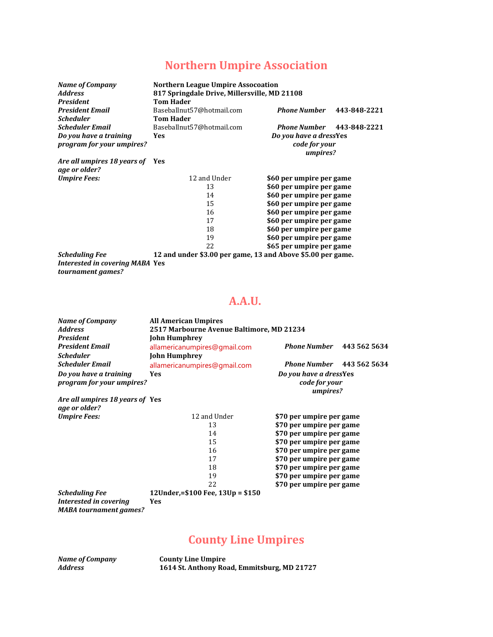## **Northern Umpire Association**

| <b>Name of Company</b><br><b>Address</b><br><b>President</b> | <b>Northern League Umpire Assocoation</b><br>817 Springdale Drive, Millersville, MD 21108<br><b>Tom Hader</b> |                          |              |
|--------------------------------------------------------------|---------------------------------------------------------------------------------------------------------------|--------------------------|--------------|
| <b>President Email</b>                                       | Baseballnut57@hotmail.com                                                                                     | <b>Phone Number</b>      | 443-848-2221 |
| <b>Scheduler</b>                                             | <b>Tom Hader</b>                                                                                              |                          |              |
| <b>Scheduler Email</b>                                       | Baseballnut57@hotmail.com                                                                                     | <b>Phone Number</b>      | 443-848-2221 |
| Do you have a training                                       | Yes                                                                                                           | Do you have a dressYes   |              |
| program for your umpires?                                    |                                                                                                               | code for your            |              |
|                                                              |                                                                                                               | umpires?                 |              |
| Are all umpires 18 years of Yes<br>age or older?             |                                                                                                               |                          |              |
| <b>Umpire Fees:</b>                                          | 12 and Under                                                                                                  | \$60 per umpire per game |              |
|                                                              | 13                                                                                                            | \$60 per umpire per game |              |
|                                                              | 14                                                                                                            | \$60 per umpire per game |              |
|                                                              | 15                                                                                                            | \$60 per umpire per game |              |
|                                                              | 16                                                                                                            | \$60 per umpire per game |              |
|                                                              | 17                                                                                                            | \$60 per umpire per game |              |
|                                                              | 18                                                                                                            | \$60 per umpire per game |              |
|                                                              | 19                                                                                                            | \$60 per umpire per game |              |
|                                                              | 22                                                                                                            | \$65 per umpire per game |              |
| <b>Scheduling Fee</b>                                        | 12 and under \$3.00 per game, 13 and Above \$5.00 per game.                                                   |                          |              |

*Interested in covering MABA* **Yes** *tournament games?*

#### **A.A.U.**

| <b>Name of Company</b><br><b>Address</b><br><b>President</b><br><b>President Email</b><br><b>Scheduler</b> | <b>All American Umpires</b><br>2517 Marbourne Avenue Baltimore, MD 21234<br><b>John Humphrey</b><br>allamericanumpires@gmail.com<br><b>John Humphrey</b> | <b>Phone Number</b> 443 562 5634                    |  |
|------------------------------------------------------------------------------------------------------------|----------------------------------------------------------------------------------------------------------------------------------------------------------|-----------------------------------------------------|--|
| <b>Scheduler Email</b>                                                                                     | allamericanumpires@gmail.com                                                                                                                             | <b>Phone Number</b> 443 562 5634                    |  |
| Do you have a training<br>program for your umpires?                                                        | <b>Yes</b>                                                                                                                                               | Do you have a dressYes<br>code for your<br>umpires? |  |
| Are all umpires 18 years of Yes                                                                            |                                                                                                                                                          |                                                     |  |
| age or older?                                                                                              |                                                                                                                                                          |                                                     |  |
| <b>Umpire Fees:</b>                                                                                        | 12 and Under                                                                                                                                             | \$70 per umpire per game                            |  |
|                                                                                                            | 13                                                                                                                                                       | \$70 per umpire per game                            |  |
|                                                                                                            | 14                                                                                                                                                       | \$70 per umpire per game                            |  |
|                                                                                                            | 15                                                                                                                                                       | \$70 per umpire per game                            |  |
|                                                                                                            | 16                                                                                                                                                       | \$70 per umpire per game                            |  |
|                                                                                                            | 17                                                                                                                                                       | \$70 per umpire per game                            |  |
|                                                                                                            | 18                                                                                                                                                       | \$70 per umpire per game                            |  |
|                                                                                                            | 19                                                                                                                                                       | \$70 per umpire per game                            |  |
|                                                                                                            | 22                                                                                                                                                       | \$70 per umpire per game                            |  |
| <b>Scheduling Fee</b>                                                                                      | 12Under,=\$100 Fee, 13Up = \$150                                                                                                                         |                                                     |  |
| Interested in covering<br><b>MABA</b> tournament games?                                                    | <b>Yes</b>                                                                                                                                               |                                                     |  |

#### **County Line Umpires**

*Name of Company* **County Line Umpire** *Address* **1614 St. Anthony Road, Emmitsburg, MD 21727**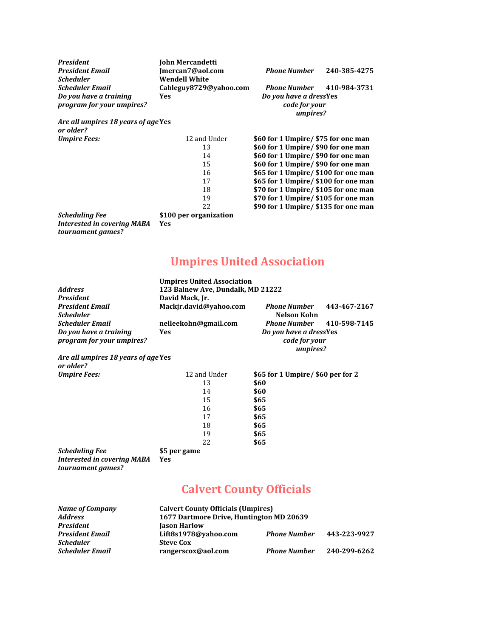| <b>President</b>                    | John Mercandetti       |                                      |              |
|-------------------------------------|------------------------|--------------------------------------|--------------|
| <b>President Email</b>              | Imercan7@aol.com       | <b>Phone Number</b>                  | 240-385-4275 |
| <b>Scheduler</b>                    | <b>Wendell White</b>   |                                      |              |
| <b>Scheduler Email</b>              | Cableguy8729@vahoo.com | <b>Phone Number</b>                  | 410-984-3731 |
| Do you have a training              | Yes                    | Do you have a dressYes               |              |
| program for your umpires?           |                        | code for your                        |              |
|                                     |                        | umpires?                             |              |
| Are all umpires 18 years of age Yes |                        |                                      |              |
| or older?                           |                        |                                      |              |
| <b>Umpire Fees:</b>                 | 12 and Under           | \$60 for 1 Umpire/ \$75 for one man  |              |
|                                     | 13                     | \$60 for 1 Umpire/ \$90 for one man  |              |
|                                     | 14                     | \$60 for 1 Umpire/ \$90 for one man  |              |
|                                     | 15                     | \$60 for 1 Umpire/ \$90 for one man  |              |
|                                     | 16                     | \$65 for 1 Umpire/ \$100 for one man |              |
|                                     | 17                     | \$65 for 1 Umpire/ \$100 for one man |              |
|                                     | 18                     | \$70 for 1 Umpire/ \$105 for one man |              |
|                                     | 19                     | \$70 for 1 Umpire/ \$105 for one man |              |
|                                     | 22                     | \$90 for 1 Umpire/ \$135 for one man |              |
| <b>Scheduling Fee</b>               | \$100 per organization |                                      |              |
| <b>Interested in covering MABA</b>  | Yes                    |                                      |              |

**Umpires United Association**

|                                                     | <b>Umpires United Association</b> |                                                     |              |
|-----------------------------------------------------|-----------------------------------|-----------------------------------------------------|--------------|
| <b>Address</b>                                      | 123 Balnew Ave, Dundalk, MD 21222 |                                                     |              |
| <b>President</b>                                    | David Mack, Jr.                   |                                                     |              |
| <b>President Email</b>                              | Mackir.david@vahoo.com            | <b>Phone Number</b>                                 | 443-467-2167 |
| <b>Scheduler</b>                                    |                                   | Nelson Kohn                                         |              |
| <b>Scheduler Email</b>                              | nelleekohn@gmail.com              | <b>Phone Number</b>                                 | 410-598-7145 |
| Do you have a training<br>program for your umpires? | Yes                               | Do you have a dressYes<br>code for your<br>umpires? |              |
| Are all umpires 18 years of age Yes<br>or older?    |                                   |                                                     |              |
| <b>Umpire Fees:</b>                                 | 12 and Under                      | \$65 for 1 Umpire/\$60 per for 2                    |              |

| 12 and Under | \$65 for 1 Umpire/ \$60 per for 2 |
|--------------|-----------------------------------|
| 13           | \$60                              |
| 14           | \$60                              |
| 15           | \$65                              |
| 16           | \$65                              |
| 17           | \$65                              |
| 18           | \$65                              |
| 19           | \$65                              |
| 22           | \$65                              |
| \$5 per game |                                   |
|              |                                   |

*Interested in covering MABA* **Yes** *tournament games?*

*tournament games?*

# **Calvert County Officials**

| <b>Name of Company</b> | <b>Calvert County Officials (Umpires)</b> |                     |              |
|------------------------|-------------------------------------------|---------------------|--------------|
| <b>Address</b>         | 1677 Dartmore Drive, Huntington MD 20639  |                     |              |
| <b>President</b>       | <b>Jason Harlow</b>                       |                     |              |
| <b>President Email</b> | Lift8s1978@vahoo.com                      | <b>Phone Number</b> | 443-223-9927 |
| <b>Scheduler</b>       | <b>Steve Cox</b>                          |                     |              |
| <b>Scheduler Email</b> | rangerscox@aol.com                        | <b>Phone Number</b> | 240-299-6262 |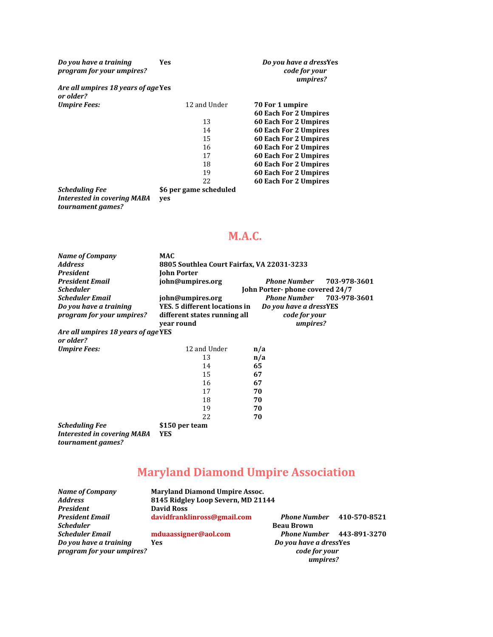| Do you have a training<br>program for your umpires? | <b>Yes</b>             | Do you have a dressYes<br>code for your<br>umpires? |
|-----------------------------------------------------|------------------------|-----------------------------------------------------|
| Are all umpires 18 years of age Yes<br>or older?    |                        |                                                     |
| <b>Umpire Fees:</b>                                 | 12 and Under           | 70 For 1 umpire                                     |
|                                                     |                        | 60 Each For 2 Umpires                               |
|                                                     | 13                     | <b>60 Each For 2 Umpires</b>                        |
|                                                     | 14                     | 60 Each For 2 Umpires                               |
|                                                     | 15                     | 60 Each For 2 Umpires                               |
|                                                     | 16                     | 60 Each For 2 Umpires                               |
|                                                     | 17                     | 60 Each For 2 Umpires                               |
|                                                     | 18                     | 60 Each For 2 Umpires                               |
|                                                     | 19                     | <b>60 Each For 2 Umpires</b>                        |
|                                                     | 22                     | 60 Each For 2 Umpires                               |
| <b>Scheduling Fee</b>                               | \$6 per game scheduled |                                                     |

*Interested in covering MABA* **yes** *tournament games?*

#### **M.A.C.**

| Name of Company                                         | <b>MAC</b>                                 |                                |              |
|---------------------------------------------------------|--------------------------------------------|--------------------------------|--------------|
| <b>Address</b>                                          | 8805 Southlea Court Fairfax, VA 22031-3233 |                                |              |
| <b>President</b>                                        | <b>John Porter</b>                         |                                |              |
| <b>President Email</b>                                  | john@umpires.org                           | <b>Phone Number</b>            | 703-978-3601 |
| <b>Scheduler</b>                                        |                                            | John Porter-phone covered 24/7 |              |
| <b>Scheduler Email</b>                                  | john@umpires.org                           | Phone Number 703-978-3601      |              |
| Do you have a training                                  | YES. 5 different locations in              | Do you have a dressYES         |              |
| program for your umpires?                               | different states running all               | code for your                  |              |
|                                                         | year round                                 | umpires?                       |              |
| Are all umpires 18 years of age YES<br>or older?        |                                            |                                |              |
| <b>Umpire Fees:</b>                                     | 12 and Under                               | n/a                            |              |
|                                                         | 13                                         | n/a                            |              |
|                                                         | 14                                         | 65                             |              |
|                                                         | 15                                         | 67                             |              |
|                                                         | 16                                         | 67                             |              |
|                                                         | 17                                         | 70                             |              |
|                                                         | 18                                         | 70                             |              |
|                                                         | 19                                         | 70                             |              |
|                                                         | 22                                         | 70                             |              |
| <b>Scheduling Fee</b>                                   | \$150 per team                             |                                |              |
| <b>Interested in covering MABA</b><br>tournament games? | <b>YES</b>                                 |                                |              |

# **Maryland Diamond Umpire Association**

| <b>Name of Company</b>    | <b>Maryland Diamond Umpire Assoc.</b> |                                  |  |
|---------------------------|---------------------------------------|----------------------------------|--|
| <b>Address</b>            | 8145 Ridgley Loop Severn, MD 21144    |                                  |  |
| <b>President</b>          | <b>David Ross</b>                     |                                  |  |
| <b>President Email</b>    | davidfranklinross@gmail.com           | <b>Phone Number</b> 410-570-8521 |  |
| <b>Scheduler</b>          |                                       | <b>Beau Brown</b>                |  |
| <b>Scheduler Email</b>    | mduaassigner@aol.com                  | <b>Phone Number</b> 443-891-3270 |  |
| Do you have a training    | <b>Yes</b>                            | Do you have a dressYes           |  |
| program for your umpires? |                                       | code for your                    |  |
|                           |                                       | umpires?                         |  |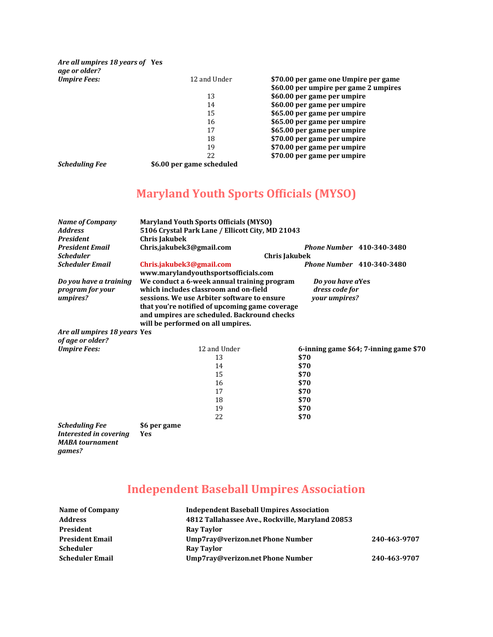*Are all umpires 18 years of* **Yes** *age or older?*  $U$ *mpire Fees:* 

| 12 and Under | \$70.00 per game one Umpire per game  |
|--------------|---------------------------------------|
|              | \$60.00 per umpire per game 2 umpires |
| 13           | \$60.00 per game per umpire           |
| 14           | \$60.00 per game per umpire           |
| 15           | \$65.00 per game per umpire           |
| 16           | \$65.00 per game per umpire           |
| 17           | \$65.00 per game per umpire           |
| 18           | \$70.00 per game per umpire           |
| 19           | \$70.00 per game per umpire           |
| 22           | \$70.00 per game per umpire           |
|              |                                       |

*Scheduling Fee* **\$6.00 per game scheduled**

## **Maryland Youth Sports Officials (MYSO)**

| <b>Name of Company</b>           | <b>Maryland Youth Sports Officials (MYSO)</b>    |                                        |
|----------------------------------|--------------------------------------------------|----------------------------------------|
| <b>Address</b>                   | 5106 Crystal Park Lane / Ellicott City, MD 21043 |                                        |
| <b>President</b>                 | <b>Chris Jakubek</b>                             |                                        |
| <b>President Email</b>           | Chris,jakubek3@gmail.com                         | <b>Phone Number</b> 410-340-3480       |
| <b>Scheduler</b>                 | Chris Jakubek                                    |                                        |
| <b>Scheduler Email</b>           | Chris.jakubek3@gmail.com                         | <b>Phone Number</b> 410-340-3480       |
|                                  | www.marylandyouthsportsofficials.com             |                                        |
| Do you have a training           | We conduct a 6-week annual training program      | Do you have aYes                       |
| program for your                 | which includes classroom and on-field            | dress code for                         |
| umpires?                         | sessions. We use Arbiter software to ensure      | your umpires?                          |
|                                  | that you're notified of upcoming game coverage   |                                        |
|                                  | and umpires are scheduled. Backround checks      |                                        |
|                                  | will be performed on all umpires.                |                                        |
| Are all umpires 18 years Yes     |                                                  |                                        |
| of age or older?                 |                                                  |                                        |
| <b>Umpire Fees:</b>              | 12 and Under                                     | 6-inning game \$64; 7-inning game \$70 |
|                                  | 13                                               | \$70                                   |
|                                  | 14                                               | \$70                                   |
|                                  | 15                                               | \$70                                   |
|                                  | 16                                               | \$70                                   |
|                                  | 17                                               | \$70                                   |
|                                  | 18                                               | \$70                                   |
|                                  | 19                                               | \$70                                   |
|                                  | 22                                               | \$70                                   |
| <b>Scheduling Fee</b>            | \$6 per game                                     |                                        |
| Interested in covering           | Yes                                              |                                        |
| <b>MABA</b> tournament<br>games? |                                                  |                                        |

# **Independent Baseball Umpires Association**

| Name of Company        | <b>Independent Baseball Umpires Association</b>  |              |
|------------------------|--------------------------------------------------|--------------|
| <b>Address</b>         | 4812 Tallahassee Ave., Rockville, Maryland 20853 |              |
| President              | Ray Taylor                                       |              |
| <b>President Email</b> | Ump7ray@verizon.net Phone Number                 | 240-463-9707 |
| Scheduler              | Ray Taylor                                       |              |
| <b>Scheduler Email</b> | Ump7ray@verizon.net Phone Number                 | 240-463-9707 |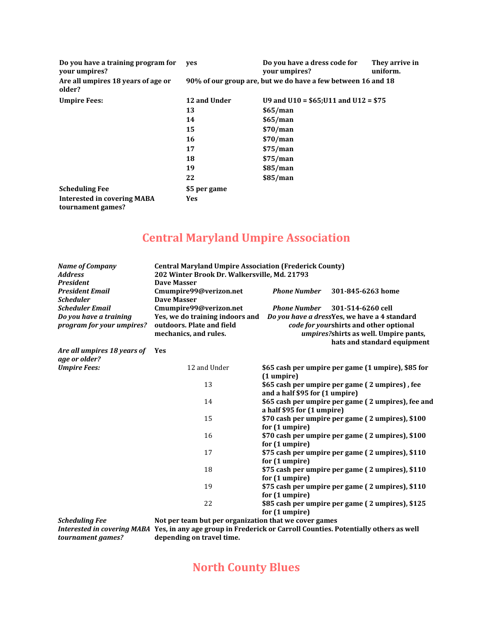| Do you have a training program for<br>your umpires?     | ves                                                          | Do you have a dress code for<br>your umpires? | They arrive in<br>uniform. |  |
|---------------------------------------------------------|--------------------------------------------------------------|-----------------------------------------------|----------------------------|--|
| Are all umpires 18 years of age or<br>older?            | 90% of our group are, but we do have a few between 16 and 18 |                                               |                            |  |
| <b>Umpire Fees:</b>                                     | 12 and Under                                                 | U9 and U10 = $$65;U11$ and U12 = $$75$        |                            |  |
|                                                         | 13                                                           | \$65/man                                      |                            |  |
|                                                         | 14                                                           | \$65/man                                      |                            |  |
|                                                         | 15                                                           | \$70/man                                      |                            |  |
|                                                         | 16                                                           | \$70/man                                      |                            |  |
|                                                         | 17                                                           | \$75/man                                      |                            |  |
|                                                         | 18                                                           | \$75/man                                      |                            |  |
|                                                         | 19                                                           | \$85/man                                      |                            |  |
|                                                         | 22                                                           | \$85/man                                      |                            |  |
| <b>Scheduling Fee</b>                                   | \$5 per game                                                 |                                               |                            |  |
| <b>Interested in covering MABA</b><br>tournament games? | <b>Yes</b>                                                   |                                               |                            |  |

## **Central Maryland Umpire Association**

| <b>Name of Company</b><br><b>Address</b><br><b>President</b>                  | <b>Central Maryland Umpire Association (Frederick County)</b><br>202 Winter Brook Dr. Walkersville, Md. 21793<br>Dave Masser |                                                                                                                                                                      |                                                                                                                                                                                     |  |
|-------------------------------------------------------------------------------|------------------------------------------------------------------------------------------------------------------------------|----------------------------------------------------------------------------------------------------------------------------------------------------------------------|-------------------------------------------------------------------------------------------------------------------------------------------------------------------------------------|--|
| <b>President Email</b><br><b>Scheduler</b>                                    | Cmumpire99@verizon.net<br>Dave Masser                                                                                        | <b>Phone Number</b>                                                                                                                                                  | 301-845-6263 home                                                                                                                                                                   |  |
| <b>Scheduler Email</b><br>Do you have a training<br>program for your umpires? | Cmumpire99@verizon.net<br>Yes, we do training indoors and<br>outdoors. Plate and field<br>mechanics, and rules.              | <b>Phone Number</b>                                                                                                                                                  | 301-514-6260 cell<br>Do you have a dressYes, we have a 4 standard<br>code for yourshirts and other optional<br>umpires?shirts as well. Umpire pants,<br>hats and standard equipment |  |
| Are all umpires 18 years of<br>age or older?                                  | Yes                                                                                                                          |                                                                                                                                                                      |                                                                                                                                                                                     |  |
| <b>Umpire Fees:</b>                                                           | 12 and Under                                                                                                                 | (1 umpire)                                                                                                                                                           | \$65 cash per umpire per game (1 umpire), \$85 for                                                                                                                                  |  |
|                                                                               | 13                                                                                                                           | \$65 cash per umpire per game (2 umpires), fee<br>and a half \$95 for (1 umpire)<br>\$65 cash per umpire per game (2 umpires), fee and<br>a half \$95 for (1 umpire) |                                                                                                                                                                                     |  |
|                                                                               | 14                                                                                                                           |                                                                                                                                                                      |                                                                                                                                                                                     |  |
|                                                                               | 15                                                                                                                           | for (1 umpire)                                                                                                                                                       | \$70 cash per umpire per game (2 umpires), \$100                                                                                                                                    |  |
|                                                                               | 16                                                                                                                           | for (1 umpire)                                                                                                                                                       | \$70 cash per umpire per game (2 umpires), \$100                                                                                                                                    |  |
|                                                                               | 17                                                                                                                           | for (1 umpire)                                                                                                                                                       | \$75 cash per umpire per game (2 umpires), \$110                                                                                                                                    |  |
|                                                                               | 18                                                                                                                           | for (1 umpire)                                                                                                                                                       | \$75 cash per umpire per game (2 umpires), \$110                                                                                                                                    |  |
|                                                                               | 19                                                                                                                           | for (1 umpire)                                                                                                                                                       | \$75 cash per umpire per game (2 umpires), \$110                                                                                                                                    |  |
|                                                                               | 22                                                                                                                           | \$85 cash per umpire per game (2 umpires), \$125<br>for (1 umpire)                                                                                                   |                                                                                                                                                                                     |  |
| <b>Scheduling Fee</b>                                                         | Not per team but per organization that we cover games                                                                        |                                                                                                                                                                      |                                                                                                                                                                                     |  |

*Interested in covering MABA* **Yes, in any age group in Frederick or Carroll Counties. Potentially others as well depending on travel time.**

#### **North County Blues**

*tournament games?*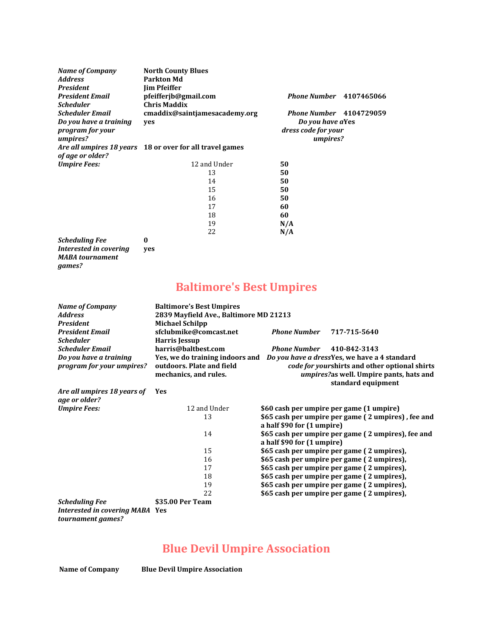| <b>Name of Company</b><br><b>Address</b><br><b>President</b>                                         | <b>North County Blues</b><br><b>Parkton Md</b><br><b>Jim Pfeiffer</b> |                                                                                       |
|------------------------------------------------------------------------------------------------------|-----------------------------------------------------------------------|---------------------------------------------------------------------------------------|
| <b>President Email</b>                                                                               | pfeifferjb@gmail.com<br><b>Chris Maddix</b>                           | <b>Phone Number</b> 4107465066                                                        |
| <b>Scheduler</b><br><b>Scheduler Email</b><br>Do you have a training<br>program for your<br>umpires? | cmaddix@saintjamesacademy.org<br>yes                                  | <b>Phone Number</b> 4104729059<br>Do you have aYes<br>dress code for your<br>umpires? |
|                                                                                                      | Are all umpires 18 years 18 or over for all travel games              |                                                                                       |
| of age or older?                                                                                     |                                                                       |                                                                                       |
| <b>Umpire Fees:</b>                                                                                  | 12 and Under                                                          | 50                                                                                    |
|                                                                                                      | 13                                                                    | 50                                                                                    |
|                                                                                                      | 14                                                                    | 50                                                                                    |
|                                                                                                      | 15                                                                    | 50                                                                                    |
|                                                                                                      | 16                                                                    | 50                                                                                    |
|                                                                                                      | 17                                                                    | 60                                                                                    |
|                                                                                                      | 18                                                                    | 60                                                                                    |
|                                                                                                      | 19                                                                    | N/A                                                                                   |
|                                                                                                      | 22                                                                    | N/A                                                                                   |
| <b>Scheduling Fee</b>                                                                                | 0                                                                     |                                                                                       |
| Interested in covering<br><b>MABA</b> tournament                                                     | yes                                                                   |                                                                                       |

# **Baltimore's Best Umpires**

| <b>Name of Company</b><br><b>Address</b><br><b>President</b><br><b>President Email</b><br><b>Scheduler</b> | <b>Baltimore's Best Umpires</b><br>2839 Mayfield Ave., Baltimore MD 21213<br><b>Michael Schilpp</b><br>sfclubmike@comcast.net<br>Harris Jessup | <b>Phone Number</b>        | 717-715-5640                                                                                                   |
|------------------------------------------------------------------------------------------------------------|------------------------------------------------------------------------------------------------------------------------------------------------|----------------------------|----------------------------------------------------------------------------------------------------------------|
| <b>Scheduler Email</b>                                                                                     | harris@baltbest.com                                                                                                                            | <b>Phone Number</b>        | 410-842-3143                                                                                                   |
| Do you have a training<br>program for your umpires?                                                        | Yes, we do training indoors and Do you have a dress Yes, we have a 4 standard<br>outdoors. Plate and field<br>mechanics, and rules.            |                            | code for yourshirts and other optional shirts<br>umpires?as well. Umpire pants, hats and<br>standard equipment |
| Are all umpires 18 years of<br>age or older?                                                               | <b>Yes</b>                                                                                                                                     |                            |                                                                                                                |
| <b>Umpire Fees:</b>                                                                                        | 12 and Under                                                                                                                                   |                            | \$60 cash per umpire per game (1 umpire)                                                                       |
|                                                                                                            | 13                                                                                                                                             | a half \$90 for (1 umpire) | \$65 cash per umpire per game (2 umpires), fee and                                                             |
|                                                                                                            | 14                                                                                                                                             | a half \$90 for (1 umpire) | \$65 cash per umpire per game (2 umpires), fee and                                                             |
|                                                                                                            | 15                                                                                                                                             |                            | \$65 cash per umpire per game (2 umpires),                                                                     |
|                                                                                                            | 16                                                                                                                                             |                            | \$65 cash per umpire per game (2 umpires),                                                                     |
|                                                                                                            | 17                                                                                                                                             |                            | \$65 cash per umpire per game (2 umpires),                                                                     |
|                                                                                                            | 18                                                                                                                                             |                            | \$65 cash per umpire per game (2 umpires),                                                                     |
|                                                                                                            | 19                                                                                                                                             |                            | \$65 cash per umpire per game (2 umpires),                                                                     |
|                                                                                                            | 22                                                                                                                                             |                            | \$65 cash per umpire per game (2 umpires),                                                                     |
| <b>Scheduling Fee</b>                                                                                      | \$35.00 Per Team                                                                                                                               |                            |                                                                                                                |
| <b>Interested in covering MABA Yes</b>                                                                     |                                                                                                                                                |                            |                                                                                                                |

*tournament games?*

*games?*

## **Blue Devil Umpire Association**

**Name of Company Blue Devil Umpire Association**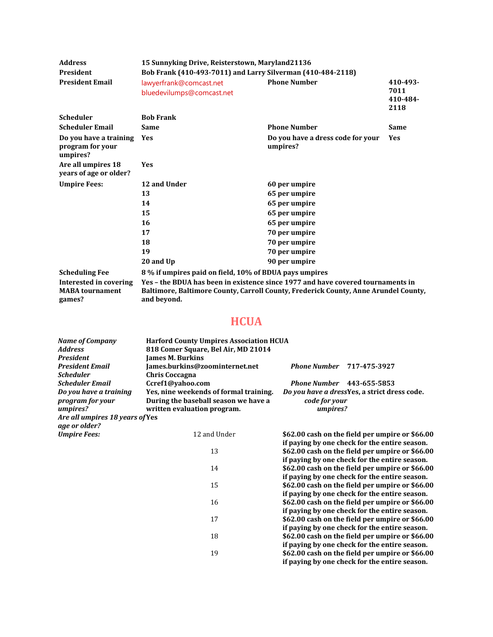| <b>Address</b>                                             | 15 Sunnyking Drive, Reisterstown, Maryland21136                                                                                                                                       |                                               |                                      |  |
|------------------------------------------------------------|---------------------------------------------------------------------------------------------------------------------------------------------------------------------------------------|-----------------------------------------------|--------------------------------------|--|
| <b>President</b>                                           | Bob Frank (410-493-7011) and Larry Silverman (410-484-2118)                                                                                                                           |                                               |                                      |  |
| <b>President Email</b>                                     | lawyerfrank@comcast.net<br>bluedevilumps@comcast.net                                                                                                                                  | <b>Phone Number</b>                           | 410-493-<br>7011<br>410-484-<br>2118 |  |
| <b>Scheduler</b>                                           | <b>Bob Frank</b>                                                                                                                                                                      |                                               |                                      |  |
| <b>Scheduler Email</b>                                     | <b>Same</b>                                                                                                                                                                           | <b>Phone Number</b>                           | <b>Same</b>                          |  |
| Do you have a training<br>program for your<br>umpires?     | Yes                                                                                                                                                                                   | Do you have a dress code for your<br>umpires? | <b>Yes</b>                           |  |
| Are all umpires 18<br>years of age or older?               | <b>Yes</b>                                                                                                                                                                            |                                               |                                      |  |
| <b>Umpire Fees:</b>                                        | 12 and Under                                                                                                                                                                          | 60 per umpire                                 |                                      |  |
|                                                            | 13                                                                                                                                                                                    | 65 per umpire                                 |                                      |  |
|                                                            | 14                                                                                                                                                                                    | 65 per umpire                                 |                                      |  |
|                                                            | 15                                                                                                                                                                                    | 65 per umpire                                 |                                      |  |
|                                                            | 16                                                                                                                                                                                    | 65 per umpire                                 |                                      |  |
|                                                            | 17                                                                                                                                                                                    | 70 per umpire                                 |                                      |  |
|                                                            | 18                                                                                                                                                                                    | 70 per umpire                                 |                                      |  |
|                                                            | 19                                                                                                                                                                                    | 70 per umpire                                 |                                      |  |
|                                                            | 20 and Up                                                                                                                                                                             | 90 per umpire                                 |                                      |  |
| <b>Scheduling Fee</b>                                      | 8 % if umpires paid on field, 10% of BDUA pays umpires                                                                                                                                |                                               |                                      |  |
| Interested in covering<br><b>MABA</b> tournament<br>games? | Yes - the BDUA has been in existence since 1977 and have covered tournaments in<br>Baltimore, Baltimore County, Carroll County, Frederick County, Anne Arundel County,<br>and beyond. |                                               |                                      |  |

## **HCUA**

| <b>Name of Company</b>          | <b>Harford County Umpires Association HCUA</b> |                           |                                                 |
|---------------------------------|------------------------------------------------|---------------------------|-------------------------------------------------|
| <b>Address</b>                  | 818 Comer Square, Bel Air, MD 21014            |                           |                                                 |
| <b>President</b>                | <b>James M. Burkins</b>                        |                           |                                                 |
| <b>President Email</b>          | James.burkins@zoominternet.net                 | <b>Phone Number</b>       | 717-475-3927                                    |
| <b>Scheduler</b>                | <b>Chris Coccagna</b>                          |                           |                                                 |
| Scheduler Email                 | Ccref1@yahoo.com                               |                           | <b>Phone Number</b> 443-655-5853                |
| Do you have a training          | Yes, nine weekends of formal training.         |                           | Do you have a dressYes, a strict dress code.    |
| program for your                | During the baseball season we have a           | code for your<br>umpires? |                                                 |
| umpires?                        | written evaluation program.                    |                           |                                                 |
| Are all umpires 18 years of Yes |                                                |                           |                                                 |
| age or older?                   |                                                |                           |                                                 |
| <b>Umpire Fees:</b>             | 12 and Under                                   |                           | \$62.00 cash on the field per umpire or \$66.00 |
|                                 |                                                |                           | if paying by one check for the entire season.   |
|                                 | 13                                             |                           | \$62.00 cash on the field per umpire or \$66.00 |
|                                 |                                                |                           | if paying by one check for the entire season.   |
|                                 | 14                                             |                           | \$62.00 cash on the field per umpire or \$66.00 |
|                                 |                                                |                           | if paying by one check for the entire season.   |
|                                 | 15                                             |                           | \$62.00 cash on the field per umpire or \$66.00 |
|                                 |                                                |                           | if paying by one check for the entire season.   |
|                                 | 16                                             |                           | \$62.00 cash on the field per umpire or \$66.00 |
|                                 |                                                |                           | if paying by one check for the entire season.   |
|                                 | 17                                             |                           | \$62.00 cash on the field per umpire or \$66.00 |
|                                 |                                                |                           | if paying by one check for the entire season.   |
|                                 | 18                                             |                           | \$62.00 cash on the field per umpire or \$66.00 |
|                                 |                                                |                           | if paying by one check for the entire season.   |
|                                 | 19                                             |                           | \$62.00 cash on the field per umpire or \$66.00 |
|                                 |                                                |                           | if paying by one check for the entire season.   |